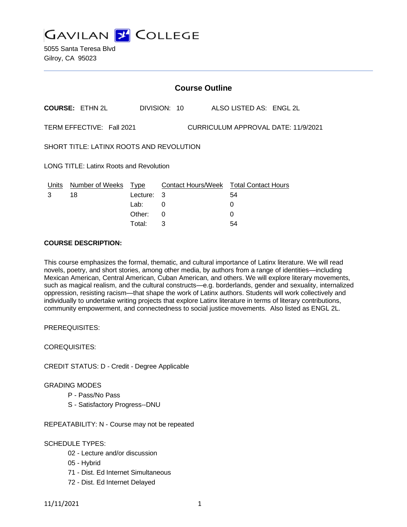**GAVILAN 2 COLLEGE** 

|                                                                  | <b>Course Outline</b>      |                    |              |  |                                        |  |  |
|------------------------------------------------------------------|----------------------------|--------------------|--------------|--|----------------------------------------|--|--|
|                                                                  | <b>COURSE: ETHN 2L</b>     |                    | DIVISION: 10 |  | ALSO LISTED AS: ENGL 2L                |  |  |
| TERM EFFECTIVE: Fall 2021<br>CURRICULUM APPROVAL DATE: 11/9/2021 |                            |                    |              |  |                                        |  |  |
| SHORT TITLE: LATINX ROOTS AND REVOLUTION                         |                            |                    |              |  |                                        |  |  |
| <b>LONG TITLE: Latinx Roots and Revolution</b>                   |                            |                    |              |  |                                        |  |  |
|                                                                  | Units Number of Weeks Type |                    |              |  | Contact Hours/Week Total Contact Hours |  |  |
| 3                                                                | 18                         | Lecture:           | 3            |  | 54                                     |  |  |
|                                                                  |                            | Lab:               | 0            |  | 0                                      |  |  |
|                                                                  |                            | Other:             | 0            |  | 0                                      |  |  |
|                                                                  |                            | Total <sup>.</sup> | 3            |  | 54                                     |  |  |

### **COURSE DESCRIPTION:**

This course emphasizes the formal, thematic, and cultural importance of Latinx literature. We will read novels, poetry, and short stories, among other media, by authors from a range of identities—including Mexican American, Central American, Cuban American, and others. We will explore literary movements, such as magical realism, and the cultural constructs—e.g. borderlands, gender and sexuality, internalized oppression, resisting racism—that shape the work of Latinx authors. Students will work collectively and individually to undertake writing projects that explore Latinx literature in terms of literary contributions, community empowerment, and connectedness to social justice movements. Also listed as ENGL 2L.

PREREQUISITES:

COREQUISITES:

CREDIT STATUS: D - Credit - Degree Applicable

#### GRADING MODES

- P Pass/No Pass
- S Satisfactory Progress--DNU

REPEATABILITY: N - Course may not be repeated

#### SCHEDULE TYPES:

- 02 Lecture and/or discussion
- 05 Hybrid
- 71 Dist. Ed Internet Simultaneous
- 72 Dist. Ed Internet Delayed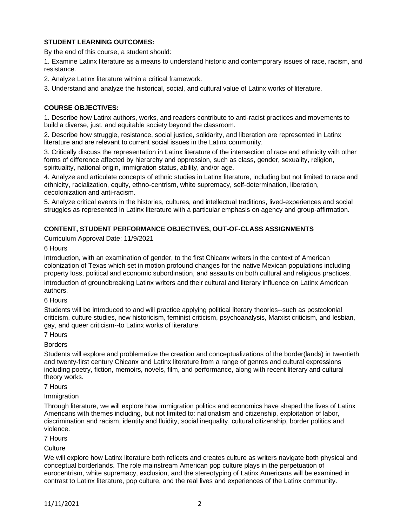# **STUDENT LEARNING OUTCOMES:**

By the end of this course, a student should:

1. Examine Latinx literature as a means to understand historic and contemporary issues of race, racism, and resistance.

2. Analyze Latinx literature within a critical framework.

3. Understand and analyze the historical, social, and cultural value of Latinx works of literature.

## **COURSE OBJECTIVES:**

1. Describe how Latinx authors, works, and readers contribute to anti-racist practices and movements to build a diverse, just, and equitable society beyond the classroom.

2. Describe how struggle, resistance, social justice, solidarity, and liberation are represented in Latinx literature and are relevant to current social issues in the Latinx community.

3. Critically discuss the representation in Latinx literature of the intersection of race and ethnicity with other forms of difference affected by hierarchy and oppression, such as class, gender, sexuality, religion, spirituality, national origin, immigration status, ability, and/or age.

4. Analyze and articulate concepts of ethnic studies in Latinx literature, including but not limited to race and ethnicity, racialization, equity, ethno-centrism, white supremacy, self-determination, liberation, decolonization and anti-racism.

5. Analyze critical events in the histories, cultures, and intellectual traditions, lived-experiences and social struggles as represented in Latinx literature with a particular emphasis on agency and group-affirmation.

# **CONTENT, STUDENT PERFORMANCE OBJECTIVES, OUT-OF-CLASS ASSIGNMENTS**

Curriculum Approval Date: 11/9/2021

6 Hours

Introduction, with an examination of gender, to the first Chicanx writers in the context of American colonization of Texas which set in motion profound changes for the native Mexican populations including property loss, political and economic subordination, and assaults on both cultural and religious practices.

Introduction of groundbreaking Latinx writers and their cultural and literary influence on Latinx American authors.

6 Hours

Students will be introduced to and will practice applying political literary theories--such as postcolonial criticism, culture studies, new historicism, feminist criticism, psychoanalysis, Marxist criticism, and lesbian, gay, and queer criticism--to Latinx works of literature.

7 Hours

Borders

Students will explore and problematize the creation and conceptualizations of the border(lands) in twentieth and twenty-first century Chicanx and Latinx literature from a range of genres and cultural expressions including poetry, fiction, memoirs, novels, film, and performance, along with recent literary and cultural theory works.

7 Hours

**Immigration** 

Through literature, we will explore how immigration politics and economics have shaped the lives of Latinx Americans with themes including, but not limited to: nationalism and citizenship, exploitation of labor, discrimination and racism, identity and fluidity, social inequality, cultural citizenship, border politics and violence.

7 Hours

**Culture** 

We will explore how Latinx literature both reflects and creates culture as writers navigate both physical and conceptual borderlands. The role mainstream American pop culture plays in the perpetuation of eurocentrism, white supremacy, exclusion, and the stereotyping of Latinx Americans will be examined in contrast to Latinx literature, pop culture, and the real lives and experiences of the Latinx community.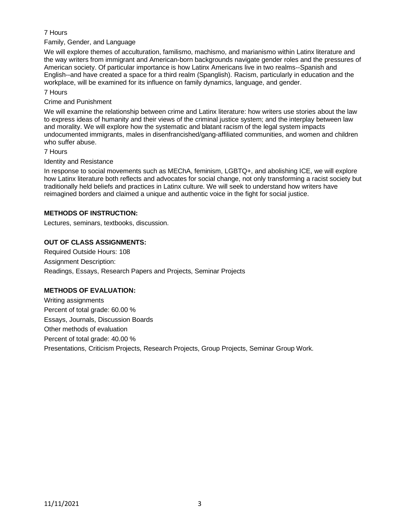# 7 Hours

Family, Gender, and Language

We will explore themes of acculturation, familismo, machismo, and marianismo within Latinx literature and the way writers from immigrant and American-born backgrounds navigate gender roles and the pressures of American society. Of particular importance is how Latinx Americans live in two realms--Spanish and English--and have created a space for a third realm (Spanglish). Racism, particularly in education and the workplace, will be examined for its influence on family dynamics, language, and gender.

### 7 Hours

### Crime and Punishment

We will examine the relationship between crime and Latinx literature: how writers use stories about the law to express ideas of humanity and their views of the criminal justice system; and the interplay between law and morality. We will explore how the systematic and blatant racism of the legal system impacts undocumented immigrants, males in disenfrancished/gang-affiliated communities, and women and children who suffer abuse.

### 7 Hours

### Identity and Resistance

In response to social movements such as MEChA, feminism, LGBTQ+, and abolishing ICE, we will explore how Latinx literature both reflects and advocates for social change, not only transforming a racist society but traditionally held beliefs and practices in Latinx culture. We will seek to understand how writers have reimagined borders and claimed a unique and authentic voice in the fight for social justice.

# **METHODS OF INSTRUCTION:**

Lectures, seminars, textbooks, discussion.

# **OUT OF CLASS ASSIGNMENTS:**

Required Outside Hours: 108 Assignment Description: Readings, Essays, Research Papers and Projects, Seminar Projects

### **METHODS OF EVALUATION:**

Writing assignments Percent of total grade: 60.00 % Essays, Journals, Discussion Boards Other methods of evaluation Percent of total grade: 40.00 % Presentations, Criticism Projects, Research Projects, Group Projects, Seminar Group Work.